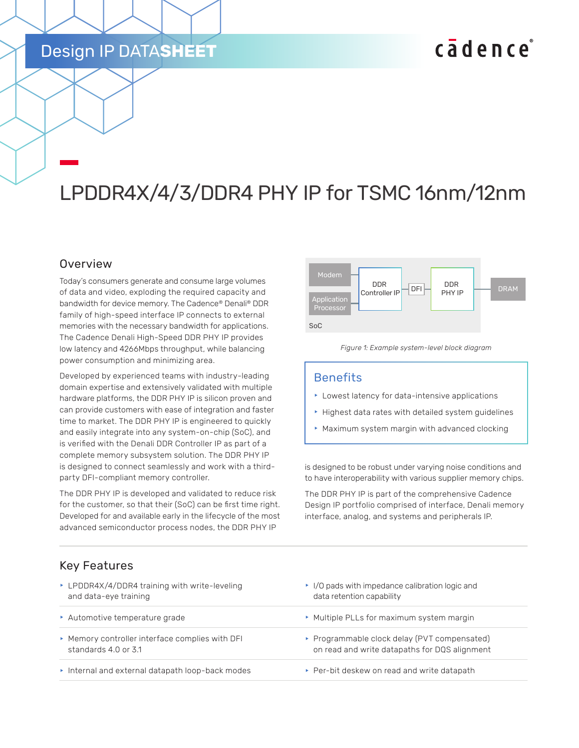# Design IP DATA**SHEET**

# cadence

# LPDDR4X/4/3/DDR4 PHY IP for TSMC 16nm/12nm

#### **Overview**

Today's consumers generate and consume large volumes of data and video, exploding the required capacity and bandwidth for device memory. The Cadence® Denali® DDR family of high-speed interface IP connects to external memories with the necessary bandwidth for applications. The Cadence Denali High-Speed DDR PHY IP provides low latency and 4266Mbps throughput, while balancing power consumption and minimizing area.

Developed by experienced teams with industry-leading domain expertise and extensively validated with multiple hardware platforms, the DDR PHY IP is silicon proven and can provide customers with ease of integration and faster time to market. The DDR PHY IP is engineered to quickly and easily integrate into any system-on-chip (SoC), and is verified with the Denali DDR Controller IP as part of a complete memory subsystem solution. The DDR PHY IP is designed to connect seamlessly and work with a thirdparty DFI-compliant memory controller.

The DDR PHY IP is developed and validated to reduce risk for the customer, so that their (SoC) can be first time right. Developed for and available early in the lifecycle of the most advanced semiconductor process nodes, the DDR PHY IP



*Figure 1: Example system-level block diagram*

#### **Benefits**

- $\blacktriangleright$  Lowest latency for data-intensive applications
- $\blacktriangleright$  Highest data rates with detailed system guidelines
- $\blacktriangleright$  Maximum system margin with advanced clocking

is designed to be robust under varying noise conditions and to have interoperability with various supplier memory chips.

The DDR PHY IP is part of the comprehensive Cadence Design IP portfolio comprised of interface, Denali memory interface, analog, and systems and peripherals IP.

# Key Features

| ▶ LPDDR4X/4/DDR4 training with write-leveling   | $\cdot$ I/O pads with impedance calibration logic and |
|-------------------------------------------------|-------------------------------------------------------|
| and data-eye training                           | data retention capability                             |
| Automotive temperature grade                    | • Multiple PLLs for maximum system margin             |
| ▶ Memory controller interface complies with DFI | ▶ Programmable clock delay (PVT compensated)          |
| standards 4.0 or 3.1                            | on read and write datapaths for DQS alignment         |
| Internal and external datapath loop-back modes  | ▶ Per-bit deskew on read and write datapath           |